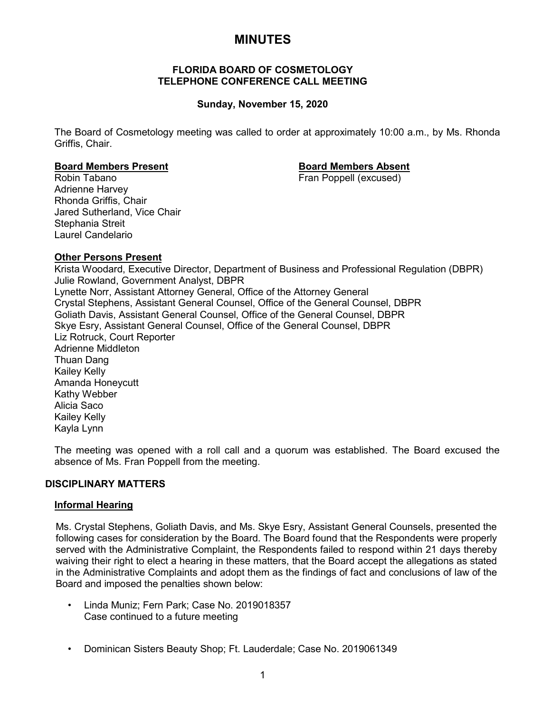# **MINUTES**

#### **FLORIDA BOARD OF COSMETOLOGY TELEPHONE CONFERENCE CALL MEETING**

# **Sunday, November 15, 2020**

The Board of Cosmetology meeting was called to order at approximately 10:00 a.m., by Ms. Rhonda Griffis, Chair.

#### **Board Members Present Board Members Absent**

Robin Tabano **Fran Poppell** (excused) Adrienne Harvey Rhonda Griffis, Chair Jared Sutherland, Vice Chair Stephania Streit Laurel Candelario

# **Other Persons Present**

Krista Woodard, Executive Director, Department of Business and Professional Regulation (DBPR) Julie Rowland, Government Analyst, DBPR Lynette Norr, Assistant Attorney General, Office of the Attorney General Crystal Stephens, Assistant General Counsel, Office of the General Counsel, DBPR Goliath Davis, Assistant General Counsel, Office of the General Counsel, DBPR Skye Esry, Assistant General Counsel, Office of the General Counsel, DBPR Liz Rotruck, Court Reporter Adrienne Middleton Thuan Dang Kailey Kelly Amanda Honeycutt Kathy Webber Alicia Saco Kailey Kelly Kayla Lynn

The meeting was opened with a roll call and a quorum was established. The Board excused the absence of Ms. Fran Poppell from the meeting.

# **DISCIPLINARY MATTERS**

#### **Informal Hearing**

Ms. Crystal Stephens, Goliath Davis, and Ms. Skye Esry, Assistant General Counsels, presented the following cases for consideration by the Board. The Board found that the Respondents were properly served with the Administrative Complaint, the Respondents failed to respond within 21 days thereby waiving their right to elect a hearing in these matters, that the Board accept the allegations as stated in the Administrative Complaints and adopt them as the findings of fact and conclusions of law of the Board and imposed the penalties shown below:

- Linda Muniz; Fern Park; Case No. 2019018357 Case continued to a future meeting
- Dominican Sisters Beauty Shop; Ft. Lauderdale; Case No. 2019061349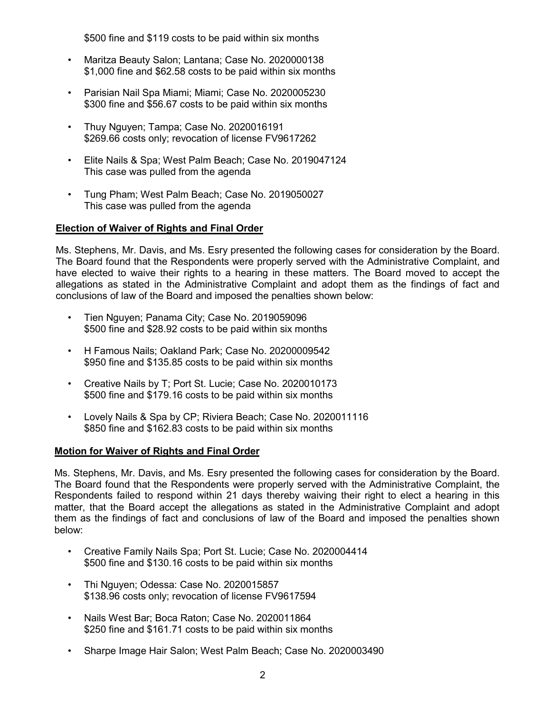\$500 fine and \$119 costs to be paid within six months

- Maritza Beauty Salon; Lantana; Case No. 2020000138 \$1,000 fine and \$62.58 costs to be paid within six months
- Parisian Nail Spa Miami; Miami; Case No. 2020005230 \$300 fine and \$56.67 costs to be paid within six months
- Thuy Nguyen; Tampa; Case No. 2020016191 \$269.66 costs only; revocation of license FV9617262
- Elite Nails & Spa; West Palm Beach; Case No. 2019047124 This case was pulled from the agenda
- Tung Pham; West Palm Beach; Case No. 2019050027 This case was pulled from the agenda

# **Election of Waiver of Rights and Final Order**

Ms. Stephens, Mr. Davis, and Ms. Esry presented the following cases for consideration by the Board. The Board found that the Respondents were properly served with the Administrative Complaint, and have elected to waive their rights to a hearing in these matters. The Board moved to accept the allegations as stated in the Administrative Complaint and adopt them as the findings of fact and conclusions of law of the Board and imposed the penalties shown below:

- Tien Nguyen; Panama City; Case No. 2019059096 \$500 fine and \$28.92 costs to be paid within six months
- H Famous Nails; Oakland Park; Case No. 20200009542 \$950 fine and \$135.85 costs to be paid within six months
- Creative Nails by T; Port St. Lucie; Case No. 2020010173 \$500 fine and \$179.16 costs to be paid within six months
- Lovely Nails & Spa by CP; Riviera Beach; Case No. 2020011116 \$850 fine and \$162.83 costs to be paid within six months

# **Motion for Waiver of Rights and Final Order**

Ms. Stephens, Mr. Davis, and Ms. Esry presented the following cases for consideration by the Board. The Board found that the Respondents were properly served with the Administrative Complaint, the Respondents failed to respond within 21 days thereby waiving their right to elect a hearing in this matter, that the Board accept the allegations as stated in the Administrative Complaint and adopt them as the findings of fact and conclusions of law of the Board and imposed the penalties shown below:

- Creative Family Nails Spa; Port St. Lucie; Case No. 2020004414 \$500 fine and \$130.16 costs to be paid within six months
- Thi Nguyen; Odessa: Case No. 2020015857 \$138.96 costs only; revocation of license FV9617594
- Nails West Bar; Boca Raton; Case No. 2020011864 \$250 fine and \$161.71 costs to be paid within six months
- Sharpe Image Hair Salon; West Palm Beach; Case No. 2020003490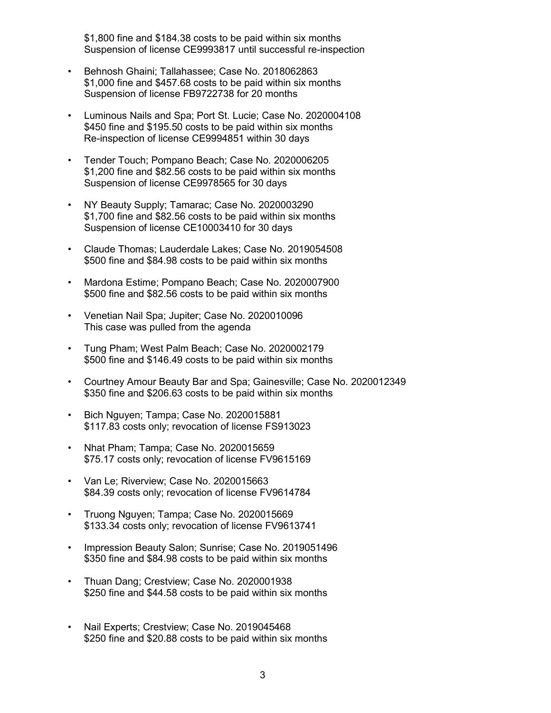\$1,800 fine and \$184.38 costs to be paid within six months Suspension of license CE9993817 until successful re-inspection

- Behnosh Ghaini; Tallahassee; Case No. 2018062863 \$1,000 fine and \$457.68 costs to be paid within six months Suspension of license FB9722738 for 20 months
- Luminous Nails and Spa; Port St. Lucie; Case No. 2020004108 \$450 fine and \$195.50 costs to be paid within six months Re-inspection of license CE9994851 within 30 days
- Tender Touch; Pompano Beach; Case No. 2020006205 \$1,200 fine and \$82.56 costs to be paid within six months Suspension of license CE9978565 for 30 days
- NY Beauty Supply; Tamarac; Case No. 2020003290 \$1,700 fine and \$82.56 costs to be paid within six months Suspension of license CE10003410 for 30 days
- Claude Thomas; Lauderdale Lakes; Case No. 2019054508 \$500 fine and \$84.98 costs to be paid within six months
- Mardona Estime; Pompano Beach; Case No. 2020007900 \$500 fine and \$82.56 costs to be paid within six months
- Venetian Nail Spa; Jupiter; Case No. 2020010096 This case was pulled from the agenda
- Tung Pham; West Palm Beach; Case No. 2020002179 \$500 fine and \$146.49 costs to be paid within six months
- Courtney Amour Beauty Bar and Spa; Gainesville; Case No. 2020012349 \$350 fine and \$206.63 costs to be paid within six months
- Bich Nguyen; Tampa; Case No. 2020015881 \$117.83 costs only; revocation of license FS913023
- Nhat Pham; Tampa; Case No. 2020015659 \$75.17 costs only; revocation of license FV9615169
- Van Le; Riverview; Case No. 2020015663 \$84.39 costs only; revocation of license FV9614784
- Truong Nguyen; Tampa; Case No. 2020015669 \$133.34 costs only; revocation of license FV9613741
- Impression Beauty Salon; Sunrise; Case No. 2019051496 \$350 fine and \$84.98 costs to be paid within six months
- Thuan Dang; Crestview; Case No. 2020001938 \$250 fine and \$44.58 costs to be paid within six months
- Nail Experts; Crestview; Case No. 2019045468 \$250 fine and \$20.88 costs to be paid within six months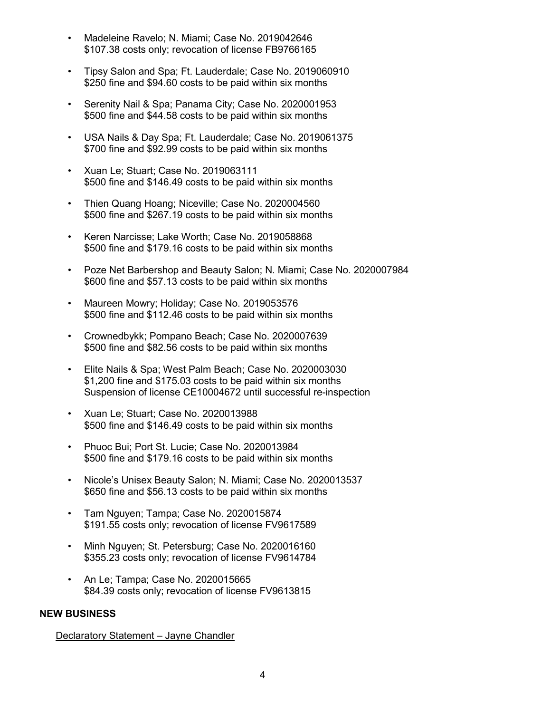- Madeleine Ravelo; N. Miami; Case No. 2019042646 \$107.38 costs only; revocation of license FB9766165
- Tipsy Salon and Spa; Ft. Lauderdale; Case No. 2019060910 \$250 fine and \$94.60 costs to be paid within six months
- Serenity Nail & Spa; Panama City; Case No. 2020001953 \$500 fine and \$44.58 costs to be paid within six months
- USA Nails & Day Spa; Ft. Lauderdale; Case No. 2019061375 \$700 fine and \$92.99 costs to be paid within six months
- Xuan Le; Stuart; Case No. 2019063111 \$500 fine and \$146.49 costs to be paid within six months
- Thien Quang Hoang; Niceville; Case No. 2020004560 \$500 fine and \$267.19 costs to be paid within six months
- Keren Narcisse; Lake Worth; Case No. 2019058868 \$500 fine and \$179.16 costs to be paid within six months
- Poze Net Barbershop and Beauty Salon; N. Miami; Case No. 2020007984 \$600 fine and \$57.13 costs to be paid within six months
- Maureen Mowry; Holiday; Case No. 2019053576 \$500 fine and \$112.46 costs to be paid within six months
- Crownedbykk; Pompano Beach; Case No. 2020007639 \$500 fine and \$82.56 costs to be paid within six months
- Elite Nails & Spa; West Palm Beach; Case No. 2020003030 \$1,200 fine and \$175.03 costs to be paid within six months Suspension of license CE10004672 until successful re-inspection
- Xuan Le; Stuart; Case No. 2020013988 \$500 fine and \$146.49 costs to be paid within six months
- Phuoc Bui; Port St. Lucie; Case No. 2020013984 \$500 fine and \$179.16 costs to be paid within six months
- Nicole's Unisex Beauty Salon; N. Miami; Case No. 2020013537 \$650 fine and \$56.13 costs to be paid within six months
- Tam Nguyen; Tampa; Case No. 2020015874 \$191.55 costs only; revocation of license FV9617589
- Minh Nguyen; St. Petersburg; Case No. 2020016160 \$355.23 costs only; revocation of license FV9614784
- An Le; Tampa; Case No. 2020015665 \$84.39 costs only; revocation of license FV9613815

# **NEW BUSINESS**

Declaratory Statement – Jayne Chandler